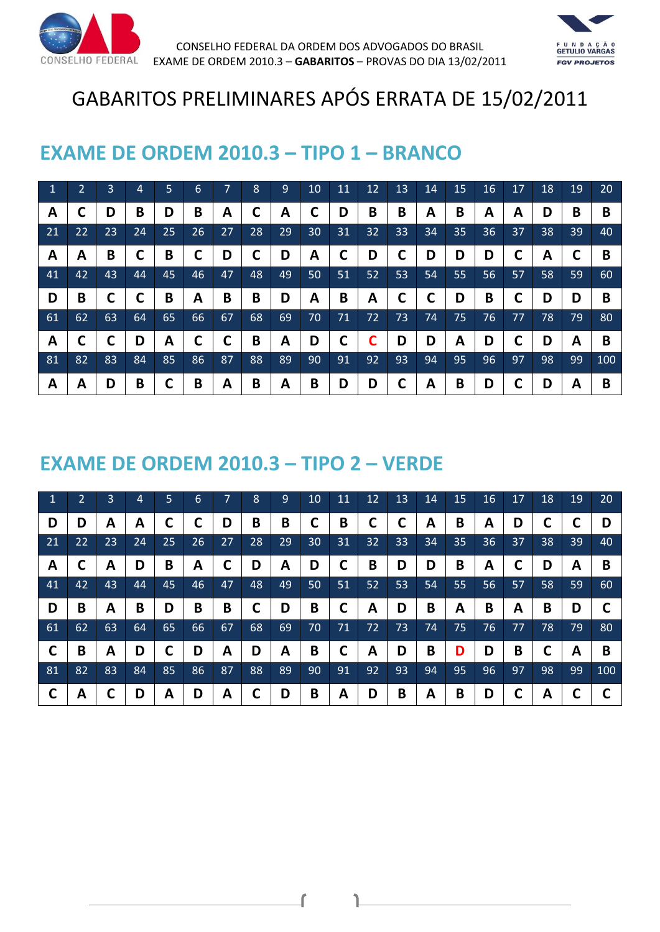



# GABARITOS PRELIMINARES APÓS ERRATA DE 15/02/2011

#### **EXAME DE ORDEM 2010.3 – TIPO 1 – BRANCO**

| $\mathbf{1}$ | 2  | 3  | 4  | 5  | 6  | 7  | 8  | 9  | 10 | 11 | 12 | 13 | 14 | 15 | 16 | 17 | 18 | 19 | 20  |
|--------------|----|----|----|----|----|----|----|----|----|----|----|----|----|----|----|----|----|----|-----|
| A            | C  | D  | B  | D  | B  | A  |    | A  |    | D  | B  | B  | A  | B  | A  | A  | D  | B  | B   |
| 21           | 22 | 23 | 24 | 25 | 26 | 27 | 28 | 29 | 30 | 31 | 32 | 33 | 34 | 35 | 36 | 37 | 38 | 39 | 40  |
| A            | A  | B  |    | B  | С  | D  |    | D  | A  |    | D  | С  | D  | D  | D  | C  | A  |    | B   |
| 41           | 42 | 43 | 44 | 45 | 46 | 47 | 48 | 49 | 50 | 51 | 52 | 53 | 54 | 55 | 56 | 57 | 58 | 59 | 60  |
| D            | B  |    | ◠  | B  | Α  | B  | B  | D  | Α  | B  | A  | С  | C  | D  | B  | С  | D  | D  | B   |
| 61           | 62 | 63 | 64 | 65 | 66 | 67 |    |    |    |    |    |    |    |    |    |    |    |    |     |
|              |    |    |    |    |    |    | 68 | 69 | 70 | 71 | 72 | 73 | 74 | 75 | 76 | 77 | 78 | 79 | 80  |
| A            | C  |    | D  | A  | C  | С  | B  | A  | D  |    |    | D  | D  | A  | D  | С  | D  | A  | B   |
| 81           | 82 | 83 | 84 | 85 | 86 | 87 | 88 | 89 | 90 | 91 | 92 | 93 | 94 | 95 | 96 | 97 | 98 | 99 | 100 |

#### **EXAME DE ORDEM 2010.3 – TIPO 2 – VERDE**

| 1   | $\overline{2}$ | 3  | 4  | 5  | 6  | $\overline{7}$ | 8  | 9  | 10 | 11 | 12 | 13 | 14 | 15 | 16 | 17 | 18 | 19 | 20 <sub>1</sub> |
|-----|----------------|----|----|----|----|----------------|----|----|----|----|----|----|----|----|----|----|----|----|-----------------|
| D   | D              | A  | А  | ┍  | C  | D              | B  | B  | С  | Β  |    | С  | A  | B  | A  | D  |    |    | D               |
| 21  | 22             | 23 | 24 | 25 | 26 | 27             | 28 | 29 | 30 | 31 | 32 | 33 | 34 | 35 | 36 | 37 | 38 | 39 | 40              |
| A   |                | А  | D  | B  | A  |                | D  | A  | D  |    | B  | D  | D  | B  | A  |    | D  | A  | B               |
| 41  | 42             | 43 | 44 | 45 | 46 | 47             | 48 | 49 | 50 | 51 | 52 | 53 | 54 | 55 | 56 | 57 | 58 | 59 | 60              |
|     |                |    |    |    |    |                |    |    |    |    |    |    |    |    |    |    |    |    |                 |
| D   | B              | А  | B  | D  | B  | B              | ┍  | D  | B  | ┍  | А  | D  | B  | A  | B  | A  | B  | D  | C               |
| 61  | 62             | 63 | 64 | 65 | 66 | 67             | 68 | 69 | 70 | 71 | 72 | 73 | 74 | 75 | 76 | 77 | 78 | 79 | 80              |
| C   | B              | A  | D  | ╰  | D  | Α              | D  | А  | B  |    | A  | D  | B  | D  | D  | B  |    | A  | B               |
| -81 | 82             | 83 | 84 | 85 | 86 | 87             | 88 | 89 | 90 | 91 | 92 | 93 | 94 | 95 | 96 | 97 | 98 | 99 | 100             |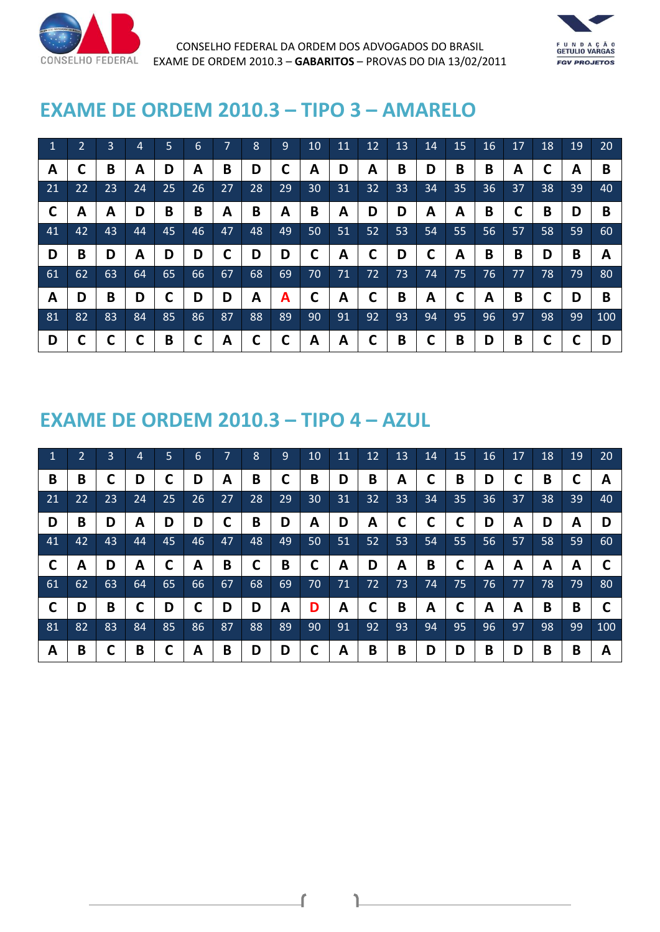



## **EXAME DE ORDEM 2010.3 – TIPO 3 – AMARELO**

| 1  | $\overline{2}$ | 3  | 4  | 5  | 6  | 7  | 8  | 9  | 10 | 11 | 12 | 13 | 14 | 15 | 16 | 17 | 18 | 19 | 20  |
|----|----------------|----|----|----|----|----|----|----|----|----|----|----|----|----|----|----|----|----|-----|
| A  |                | B  | А  | D  | A  | B  | D  |    | А  | D  | A  | B  | D  | B  | B  | A  |    | A  | B   |
| 21 | 22             | 23 | 24 | 25 | 26 | 27 | 28 | 29 | 30 | 31 | 32 | 33 | 34 | 35 | 36 | 37 | 38 | 39 | 40  |
| C  | A              | А  | D  | B  | B  | Α  | B  | A  | B  | А  | D  | D  | A  | A  | B  |    | B  | D  | B   |
| 41 | 42             | 43 | 44 | 45 | 46 | 47 | 48 | 49 | 50 | 51 | 52 | 53 | 54 | 55 | 56 | 57 | 58 | 59 | 60  |
|    |                |    |    |    |    |    |    |    |    |    |    |    |    |    |    |    |    |    |     |
| D  | B              | D  | А  | D  | D  | С  | D  | D  |    | А  |    | D  | С  | A  | B  | B  | D  | B  | A   |
| 61 | 62             | 63 | 64 | 65 | 66 | 67 | 68 | 69 | 70 | 71 | 72 | 73 | 74 | 75 | 76 | 77 | 78 | 79 | 80  |
| A  | D              | B  | D  |    | D  | D  | A  | A  |    | А  |    | B  | A  |    | A  | B  |    | D  | B   |
| 81 | 82             | 83 | 84 | 85 | 86 | 87 | 88 | 89 | 90 | 91 | 92 | 93 | 94 | 95 | 96 | 97 | 98 | 99 | 100 |

## **EXAME DE ORDEM 2010.3 – TIPO 4 – AZUL**

| $\blacktriangleleft$ | $\overline{2}$ | 3  | 4  | 5  | 6  | $\overline{7}$ | 8  | 9  | 10 | 11 | 12 | 13 | 14 | 15     | 16 | 17 | 18 | 19 | 20  |
|----------------------|----------------|----|----|----|----|----------------|----|----|----|----|----|----|----|--------|----|----|----|----|-----|
| B                    | B              |    | D  | ╰  | D  | A              | B  | L  | B  | D  | B  | Α  | L  | B      | D  |    | B  |    | A   |
| 21                   | 22             | 23 | 24 | 25 | 26 | 27             | 28 | 29 | 30 | 31 | 32 | 33 | 34 | 35     | 36 | 37 | 38 | 39 | 40  |
| D                    | B              | D  | А  | D  | D  |                | B  | D  | A  | D  | A  | С  |    |        | D  | A  | D  | A  | D   |
| 41                   | 42             | 43 | 44 | 45 | 46 | 47             | 48 | 49 | 50 | 51 | 52 | 53 | 54 | 55     | 56 | 57 | 58 | 59 | 60  |
|                      |                |    |    |    |    |                |    |    |    |    |    |    |    |        |    |    |    |    |     |
| $\mathsf{C}$         | A              | D  | A  | ┍  | A  | B              | ◠  | B  |    | А  | D  | A  | B  | С      | A  | A  | А  | A  | C   |
| 61                   | 62             | 63 | 64 | 65 | 66 | 67             | 68 | 69 | 70 | 71 | 72 | 73 | 74 | 75     | 76 | 77 | 78 | 79 | 80  |
| C                    | D              | B  | ┍  | D  | С  | D              | D  | A  | D  | А  |    | B  | A  | ◚<br>L | A  | А  | B  | B  |     |
| -81                  | 82             | 83 | 84 | 85 | 86 | 87             | 88 | 89 | 90 | 91 | 92 | 93 | 94 | 95     | 96 | 97 | 98 | 99 | 100 |